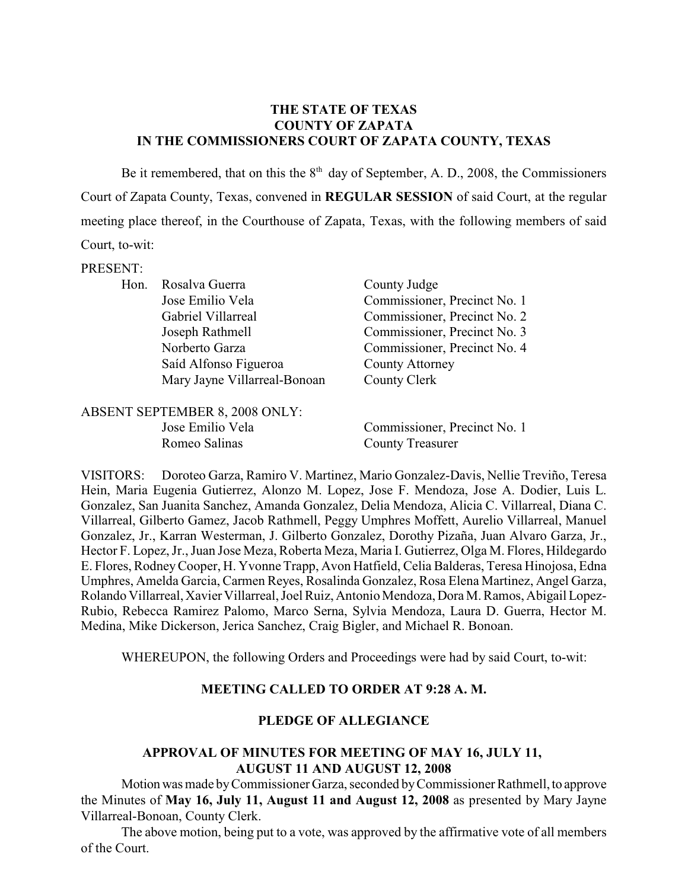#### **THE STATE OF TEXAS COUNTY OF ZAPATA IN THE COMMISSIONERS COURT OF ZAPATA COUNTY, TEXAS**

Be it remembered, that on this the  $8<sup>th</sup>$  day of September, A. D., 2008, the Commissioners Court of Zapata County, Texas, convened in **REGULAR SESSION** of said Court, at the regular meeting place thereof, in the Courthouse of Zapata, Texas, with the following members of said Court, to-wit:

#### PRESENT:

| Hon. Rosalva Guerra          | County Judge                 |
|------------------------------|------------------------------|
| Jose Emilio Vela             | Commissioner, Precinct No. 1 |
| Gabriel Villarreal           | Commissioner, Precinct No. 2 |
| Joseph Rathmell              | Commissioner, Precinct No. 3 |
| Norberto Garza               | Commissioner, Precinct No. 4 |
| Saíd Alfonso Figueroa        | <b>County Attorney</b>       |
| Mary Jayne Villarreal-Bonoan | County Clerk                 |
|                              |                              |

| ABSENT SEPTEMBER 8, 2008 ONLY: |                              |
|--------------------------------|------------------------------|
| Jose Emilio Vela               | Commissioner, Precinct No. 1 |
| Romeo Salinas                  | <b>County Treasurer</b>      |

VISITORS: Doroteo Garza, Ramiro V. Martinez, Mario Gonzalez-Davis, Nellie Treviño, Teresa Hein, Maria Eugenia Gutierrez, Alonzo M. Lopez, Jose F. Mendoza, Jose A. Dodier, Luis L. Gonzalez, San Juanita Sanchez, Amanda Gonzalez, Delia Mendoza, Alicia C. Villarreal, Diana C. Villarreal, Gilberto Gamez, Jacob Rathmell, Peggy Umphres Moffett, Aurelio Villarreal, Manuel Gonzalez, Jr., Karran Westerman, J. Gilberto Gonzalez, Dorothy Pizaña, Juan Alvaro Garza, Jr., Hector F. Lopez, Jr., Juan Jose Meza, Roberta Meza, Maria I. Gutierrez, Olga M. Flores, Hildegardo E. Flores, Rodney Cooper, H. Yvonne Trapp, Avon Hatfield, Celia Balderas, Teresa Hinojosa, Edna Umphres, Amelda Garcia, Carmen Reyes, Rosalinda Gonzalez, Rosa Elena Martinez, Angel Garza, Rolando Villarreal, Xavier Villarreal, Joel Ruiz, Antonio Mendoza, Dora M. Ramos, Abigail Lopez-Rubio, Rebecca Ramirez Palomo, Marco Serna, Sylvia Mendoza, Laura D. Guerra, Hector M. Medina, Mike Dickerson, Jerica Sanchez, Craig Bigler, and Michael R. Bonoan.

WHEREUPON, the following Orders and Proceedings were had by said Court, to-wit:

#### **MEETING CALLED TO ORDER AT 9:28 A. M.**

#### **PLEDGE OF ALLEGIANCE**

## **APPROVAL OF MINUTES FOR MEETING OF MAY 16, JULY 11, AUGUST 11 AND AUGUST 12, 2008**

Motion was made by Commissioner Garza, seconded by Commissioner Rathmell, to approve the Minutes of **May 16, July 11, August 11 and August 12, 2008** as presented by Mary Jayne Villarreal-Bonoan, County Clerk.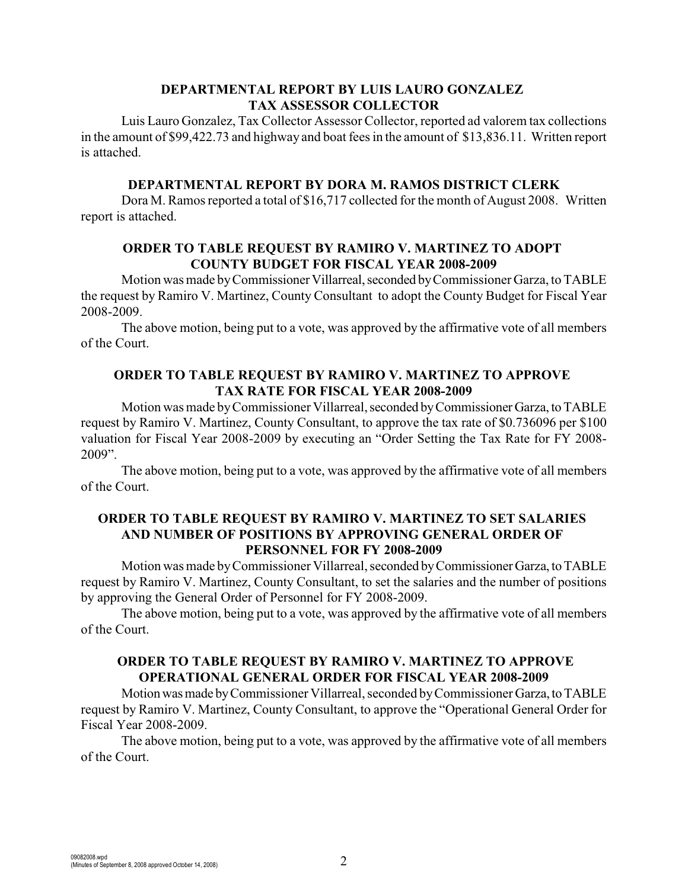# **DEPARTMENTAL REPORT BY LUIS LAURO GONZALEZ TAX ASSESSOR COLLECTOR**

Luis Lauro Gonzalez, Tax Collector Assessor Collector, reported ad valorem tax collections in the amount of \$99,422.73 and highway and boat fees in the amount of \$13,836.11. Written report is attached.

#### **DEPARTMENTAL REPORT BY DORA M. RAMOS DISTRICT CLERK**

Dora M. Ramos reported a total of \$16,717 collected for the month of August 2008. Written report is attached.

### **ORDER TO TABLE REQUEST BY RAMIRO V. MARTINEZ TO ADOPT COUNTY BUDGET FOR FISCAL YEAR 2008-2009**

Motion was made by Commissioner Villarreal, seconded by Commissioner Garza, to TABLE the request by Ramiro V. Martinez, County Consultant to adopt the County Budget for Fiscal Year 2008-2009.

The above motion, being put to a vote, was approved by the affirmative vote of all members of the Court.

## **ORDER TO TABLE REQUEST BY RAMIRO V. MARTINEZ TO APPROVE TAX RATE FOR FISCAL YEAR 2008-2009**

Motion was made by Commissioner Villarreal, seconded by Commissioner Garza, to TABLE request by Ramiro V. Martinez, County Consultant, to approve the tax rate of \$0.736096 per \$100 valuation for Fiscal Year 2008-2009 by executing an "Order Setting the Tax Rate for FY 2008- 2009".

The above motion, being put to a vote, was approved by the affirmative vote of all members of the Court.

### **ORDER TO TABLE REQUEST BY RAMIRO V. MARTINEZ TO SET SALARIES AND NUMBER OF POSITIONS BY APPROVING GENERAL ORDER OF PERSONNEL FOR FY 2008-2009**

Motion was made by Commissioner Villarreal, seconded by Commissioner Garza, to TABLE request by Ramiro V. Martinez, County Consultant, to set the salaries and the number of positions by approving the General Order of Personnel for FY 2008-2009.

The above motion, being put to a vote, was approved by the affirmative vote of all members of the Court.

# **ORDER TO TABLE REQUEST BY RAMIRO V. MARTINEZ TO APPROVE OPERATIONAL GENERAL ORDER FOR FISCAL YEAR 2008-2009**

Motion was made by Commissioner Villarreal, seconded by Commissioner Garza, to TABLE request by Ramiro V. Martinez, County Consultant, to approve the "Operational General Order for Fiscal Year 2008-2009.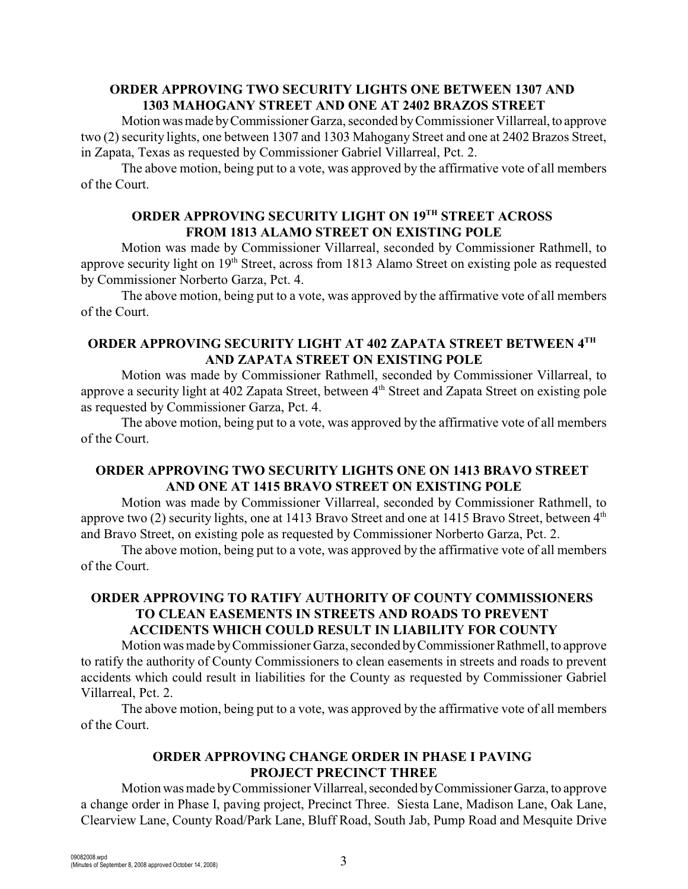### **ORDER APPROVING TWO SECURITY LIGHTS ONE BETWEEN 1307 AND 1303 MAHOGANY STREET AND ONE AT 2402 BRAZOS STREET**

Motion was made by Commissioner Garza, seconded by Commissioner Villarreal, to approve two (2) security lights, one between 1307 and 1303 Mahogany Street and one at 2402 Brazos Street, in Zapata, Texas as requested by Commissioner Gabriel Villarreal, Pct. 2.

The above motion, being put to a vote, was approved by the affirmative vote of all members of the Court.

# **ORDER APPROVING SECURITY LIGHT ON 19TH STREET ACROSS FROM 1813 ALAMO STREET ON EXISTING POLE**

Motion was made by Commissioner Villarreal, seconded by Commissioner Rathmell, to approve security light on 19<sup>th</sup> Street, across from 1813 Alamo Street on existing pole as requested by Commissioner Norberto Garza, Pct. 4.

The above motion, being put to a vote, was approved by the affirmative vote of all members of the Court.

## **ORDER APPROVING SECURITY LIGHT AT 402 ZAPATA STREET BETWEEN 4TH AND ZAPATA STREET ON EXISTING POLE**

Motion was made by Commissioner Rathmell, seconded by Commissioner Villarreal, to approve a security light at 402 Zapata Street, between 4<sup>th</sup> Street and Zapata Street on existing pole as requested by Commissioner Garza, Pct. 4.

The above motion, being put to a vote, was approved by the affirmative vote of all members of the Court.

## **ORDER APPROVING TWO SECURITY LIGHTS ONE ON 1413 BRAVO STREET AND ONE AT 1415 BRAVO STREET ON EXISTING POLE**

Motion was made by Commissioner Villarreal, seconded by Commissioner Rathmell, to approve two (2) security lights, one at 1413 Bravo Street and one at 1415 Bravo Street, between 4<sup>th</sup> and Bravo Street, on existing pole as requested by Commissioner Norberto Garza, Pct. 2.

The above motion, being put to a vote, was approved by the affirmative vote of all members of the Court.

## **ORDER APPROVING TO RATIFY AUTHORITY OF COUNTY COMMISSIONERS TO CLEAN EASEMENTS IN STREETS AND ROADS TO PREVENT ACCIDENTS WHICH COULD RESULT IN LIABILITY FOR COUNTY**

Motion was made by Commissioner Garza, seconded by Commissioner Rathmell, to approve to ratify the authority of County Commissioners to clean easements in streets and roads to prevent accidents which could result in liabilities for the County as requested by Commissioner Gabriel Villarreal, Pct. 2.

The above motion, being put to a vote, was approved by the affirmative vote of all members of the Court.

# **ORDER APPROVING CHANGE ORDER IN PHASE I PAVING PROJECT PRECINCT THREE**

Motion was made by Commissioner Villarreal, seconded by Commissioner Garza, to approve a change order in Phase I, paving project, Precinct Three. Siesta Lane, Madison Lane, Oak Lane, Clearview Lane, County Road/Park Lane, Bluff Road, South Jab, Pump Road and Mesquite Drive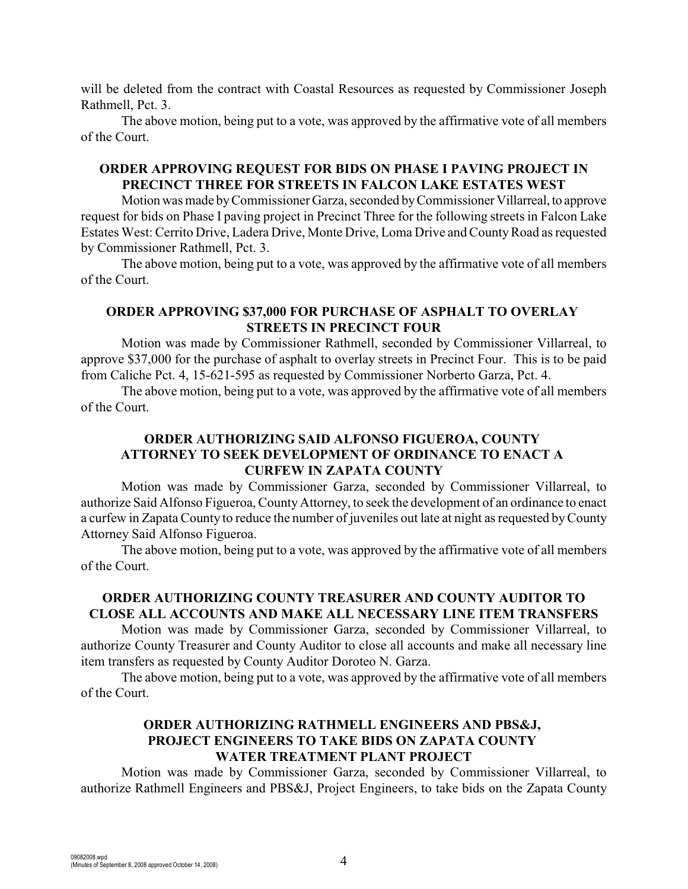will be deleted from the contract with Coastal Resources as requested by Commissioner Joseph Rathmell, Pct. 3.

The above motion, being put to a vote, was approved by the affirmative vote of all members of the Court.

## **ORDER APPROVING REQUEST FOR BIDS ON PHASE I PAVING PROJECT IN PRECINCT THREE FOR STREETS IN FALCON LAKE ESTATES WEST**

Motion was made by Commissioner Garza, seconded by Commissioner Villarreal, to approve request for bids on Phase I paving project in Precinct Three for the following streets in Falcon Lake Estates West: Cerrito Drive, Ladera Drive, Monte Drive, Loma Drive and County Road as requested by Commissioner Rathmell, Pct. 3.

The above motion, being put to a vote, was approved by the affirmative vote of all members of the Court.

# **ORDER APPROVING \$37,000 FOR PURCHASE OF ASPHALT TO OVERLAY STREETS IN PRECINCT FOUR**

Motion was made by Commissioner Rathmell, seconded by Commissioner Villarreal, to approve \$37,000 for the purchase of asphalt to overlay streets in Precinct Four. This is to be paid from Caliche Pct. 4, 15-621-595 as requested by Commissioner Norberto Garza, Pct. 4.

The above motion, being put to a vote, was approved by the affirmative vote of all members of the Court.

## **ORDER AUTHORIZING SAID ALFONSO FIGUEROA, COUNTY ATTORNEY TO SEEK DEVELOPMENT OF ORDINANCE TO ENACT A CURFEW IN ZAPATA COUNTY**

Motion was made by Commissioner Garza, seconded by Commissioner Villarreal, to authorize Said Alfonso Figueroa, County Attorney, to seek the development of an ordinance to enact a curfew in Zapata County to reduce the number of juveniles out late at night as requested by County Attorney Said Alfonso Figueroa.

The above motion, being put to a vote, was approved by the affirmative vote of all members of the Court.

# **ORDER AUTHORIZING COUNTY TREASURER AND COUNTY AUDITOR TO CLOSE ALL ACCOUNTS AND MAKE ALL NECESSARY LINE ITEM TRANSFERS**

Motion was made by Commissioner Garza, seconded by Commissioner Villarreal, to authorize County Treasurer and County Auditor to close all accounts and make all necessary line item transfers as requested by County Auditor Doroteo N. Garza.

The above motion, being put to a vote, was approved by the affirmative vote of all members of the Court.

### **ORDER AUTHORIZING RATHMELL ENGINEERS AND PBS&J, PROJECT ENGINEERS TO TAKE BIDS ON ZAPATA COUNTY WATER TREATMENT PLANT PROJECT**

Motion was made by Commissioner Garza, seconded by Commissioner Villarreal, to authorize Rathmell Engineers and PBS&J, Project Engineers, to take bids on the Zapata County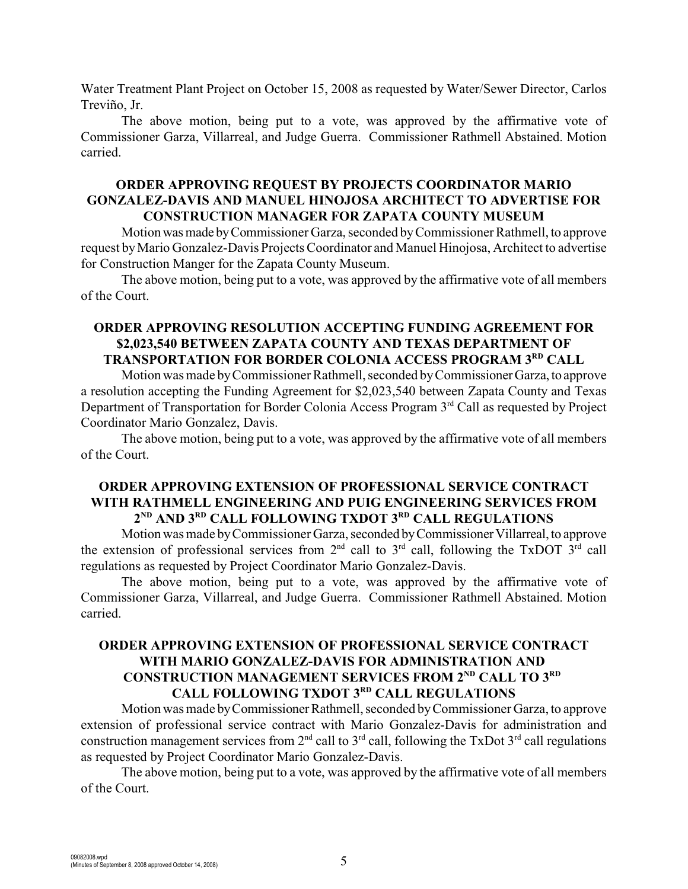Water Treatment Plant Project on October 15, 2008 as requested by Water/Sewer Director, Carlos Treviño, Jr.

The above motion, being put to a vote, was approved by the affirmative vote of Commissioner Garza, Villarreal, and Judge Guerra. Commissioner Rathmell Abstained. Motion carried.

### **ORDER APPROVING REQUEST BY PROJECTS COORDINATOR MARIO GONZALEZ-DAVIS AND MANUEL HINOJOSA ARCHITECT TO ADVERTISE FOR CONSTRUCTION MANAGER FOR ZAPATA COUNTY MUSEUM**

Motion was made by Commissioner Garza, seconded by Commissioner Rathmell, to approve request by Mario Gonzalez-Davis Projects Coordinator and Manuel Hinojosa, Architect to advertise for Construction Manger for the Zapata County Museum.

The above motion, being put to a vote, was approved by the affirmative vote of all members of the Court.

## **ORDER APPROVING RESOLUTION ACCEPTING FUNDING AGREEMENT FOR \$2,023,540 BETWEEN ZAPATA COUNTY AND TEXAS DEPARTMENT OF TRANSPORTATION FOR BORDER COLONIA ACCESS PROGRAM 3RD CALL**

Motion was made by Commissioner Rathmell, seconded by Commissioner Garza, to approve a resolution accepting the Funding Agreement for \$2,023,540 between Zapata County and Texas Department of Transportation for Border Colonia Access Program 3<sup>rd</sup> Call as requested by Project Coordinator Mario Gonzalez, Davis.

The above motion, being put to a vote, was approved by the affirmative vote of all members of the Court.

#### **ORDER APPROVING EXTENSION OF PROFESSIONAL SERVICE CONTRACT WITH RATHMELL ENGINEERING AND PUIG ENGINEERING SERVICES FROM**  $2^{ND}$  AND  $3^{RD}$  CALL FOLLOWING TXDOT  $3^{RD}$  CALL REGULATIONS

Motion was made by Commissioner Garza, seconded by Commissioner Villarreal, to approve the extension of professional services from  $2<sup>nd</sup>$  call to  $3<sup>rd</sup>$  call, following the TxDOT  $3<sup>rd</sup>$  call regulations as requested by Project Coordinator Mario Gonzalez-Davis.

The above motion, being put to a vote, was approved by the affirmative vote of Commissioner Garza, Villarreal, and Judge Guerra. Commissioner Rathmell Abstained. Motion carried.

# **ORDER APPROVING EXTENSION OF PROFESSIONAL SERVICE CONTRACT WITH MARIO GONZALEZ-DAVIS FOR ADMINISTRATION AND CONSTRUCTION MANAGEMENT SERVICES FROM 2<sup>ND</sup> CALL TO 3<sup>RD</sup> CALL FOLLOWING TXDOT 3RD CALL REGULATIONS**

Motion was made by Commissioner Rathmell, seconded by Commissioner Garza, to approve extension of professional service contract with Mario Gonzalez-Davis for administration and construction management services from  $2<sup>nd</sup>$  call to  $3<sup>rd</sup>$  call, following the TxDot  $3<sup>rd</sup>$  call regulations as requested by Project Coordinator Mario Gonzalez-Davis.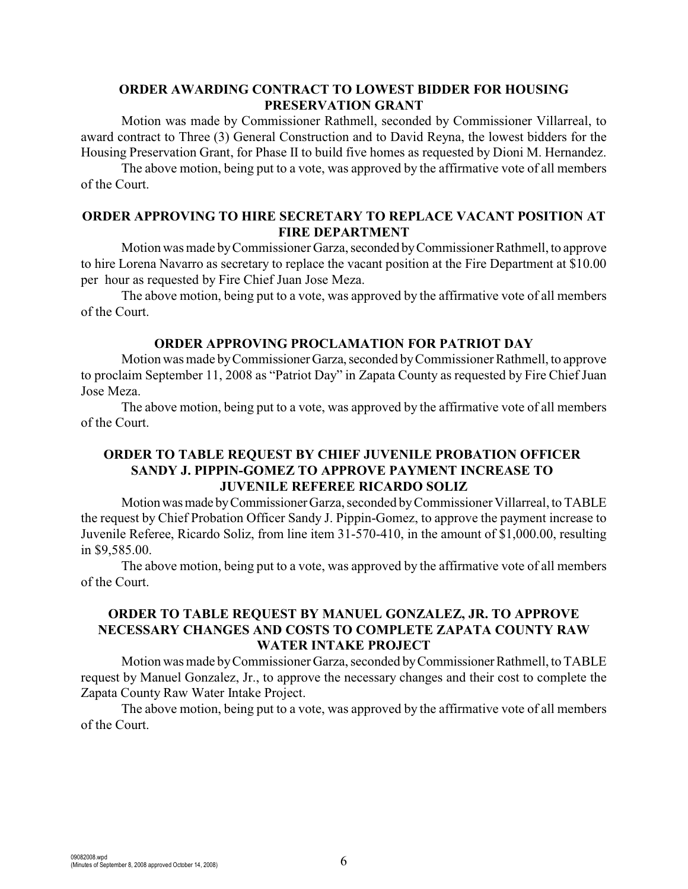# **ORDER AWARDING CONTRACT TO LOWEST BIDDER FOR HOUSING PRESERVATION GRANT**

Motion was made by Commissioner Rathmell, seconded by Commissioner Villarreal, to award contract to Three (3) General Construction and to David Reyna, the lowest bidders for the Housing Preservation Grant, for Phase II to build five homes as requested by Dioni M. Hernandez.

The above motion, being put to a vote, was approved by the affirmative vote of all members of the Court.

## **ORDER APPROVING TO HIRE SECRETARY TO REPLACE VACANT POSITION AT FIRE DEPARTMENT**

Motion was made by Commissioner Garza, seconded by Commissioner Rathmell, to approve to hire Lorena Navarro as secretary to replace the vacant position at the Fire Department at \$10.00 per hour as requested by Fire Chief Juan Jose Meza.

The above motion, being put to a vote, was approved by the affirmative vote of all members of the Court.

#### **ORDER APPROVING PROCLAMATION FOR PATRIOT DAY**

Motion was made by Commissioner Garza, seconded by Commissioner Rathmell, to approve to proclaim September 11, 2008 as "Patriot Day" in Zapata County as requested by Fire Chief Juan Jose Meza.

The above motion, being put to a vote, was approved by the affirmative vote of all members of the Court.

#### **ORDER TO TABLE REQUEST BY CHIEF JUVENILE PROBATION OFFICER SANDY J. PIPPIN-GOMEZ TO APPROVE PAYMENT INCREASE TO JUVENILE REFEREE RICARDO SOLIZ**

Motion was made by Commissioner Garza, seconded by Commissioner Villarreal, to TABLE the request by Chief Probation Officer Sandy J. Pippin-Gomez, to approve the payment increase to Juvenile Referee, Ricardo Soliz, from line item 31-570-410, in the amount of \$1,000.00, resulting in \$9,585.00.

The above motion, being put to a vote, was approved by the affirmative vote of all members of the Court.

### **ORDER TO TABLE REQUEST BY MANUEL GONZALEZ, JR. TO APPROVE NECESSARY CHANGES AND COSTS TO COMPLETE ZAPATA COUNTY RAW WATER INTAKE PROJECT**

Motion was made by Commissioner Garza, seconded by Commissioner Rathmell, to TABLE request by Manuel Gonzalez, Jr., to approve the necessary changes and their cost to complete the Zapata County Raw Water Intake Project.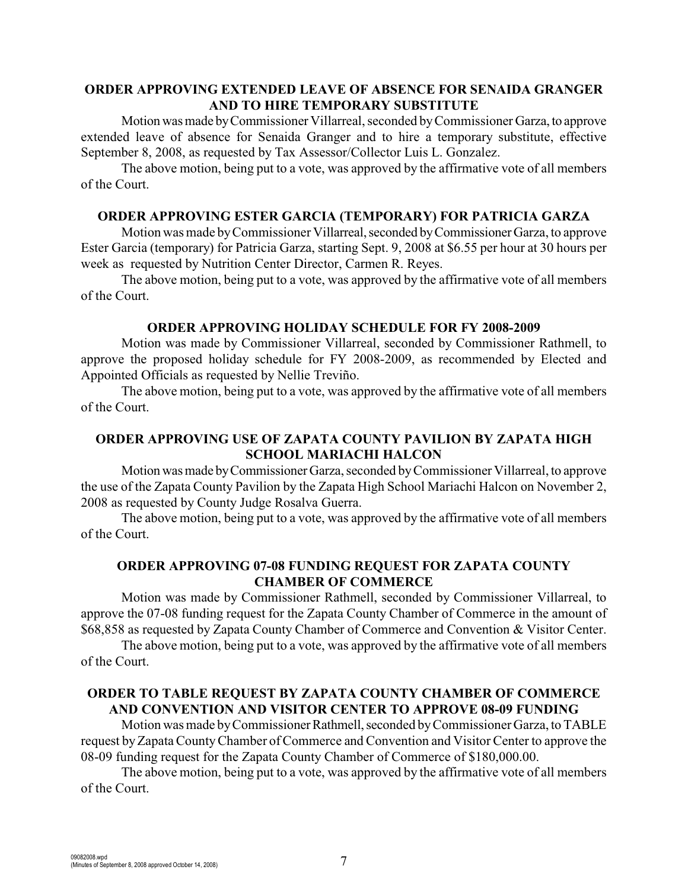### **ORDER APPROVING EXTENDED LEAVE OF ABSENCE FOR SENAIDA GRANGER AND TO HIRE TEMPORARY SUBSTITUTE**

Motion was made by Commissioner Villarreal, seconded by Commissioner Garza, to approve extended leave of absence for Senaida Granger and to hire a temporary substitute, effective September 8, 2008, as requested by Tax Assessor/Collector Luis L. Gonzalez.

The above motion, being put to a vote, was approved by the affirmative vote of all members of the Court.

### **ORDER APPROVING ESTER GARCIA (TEMPORARY) FOR PATRICIA GARZA**

Motion was made by Commissioner Villarreal, seconded by Commissioner Garza, to approve Ester Garcia (temporary) for Patricia Garza, starting Sept. 9, 2008 at \$6.55 per hour at 30 hours per week as requested by Nutrition Center Director, Carmen R. Reyes.

The above motion, being put to a vote, was approved by the affirmative vote of all members of the Court.

#### **ORDER APPROVING HOLIDAY SCHEDULE FOR FY 2008-2009**

Motion was made by Commissioner Villarreal, seconded by Commissioner Rathmell, to approve the proposed holiday schedule for FY 2008-2009, as recommended by Elected and Appointed Officials as requested by Nellie Treviño.

The above motion, being put to a vote, was approved by the affirmative vote of all members of the Court.

## **ORDER APPROVING USE OF ZAPATA COUNTY PAVILION BY ZAPATA HIGH SCHOOL MARIACHI HALCON**

Motion was made by Commissioner Garza, seconded by Commissioner Villarreal, to approve the use of the Zapata County Pavilion by the Zapata High School Mariachi Halcon on November 2, 2008 as requested by County Judge Rosalva Guerra.

The above motion, being put to a vote, was approved by the affirmative vote of all members of the Court.

### **ORDER APPROVING 07-08 FUNDING REQUEST FOR ZAPATA COUNTY CHAMBER OF COMMERCE**

Motion was made by Commissioner Rathmell, seconded by Commissioner Villarreal, to approve the 07-08 funding request for the Zapata County Chamber of Commerce in the amount of \$68,858 as requested by Zapata County Chamber of Commerce and Convention & Visitor Center.

The above motion, being put to a vote, was approved by the affirmative vote of all members of the Court.

### **ORDER TO TABLE REQUEST BY ZAPATA COUNTY CHAMBER OF COMMERCE AND CONVENTION AND VISITOR CENTER TO APPROVE 08-09 FUNDING**

Motion was made by Commissioner Rathmell, seconded by Commissioner Garza, to TABLE request byZapataCountyChamber of Commerce and Convention and Visitor Center to approve the 08-09 funding request for the Zapata County Chamber of Commerce of \$180,000.00.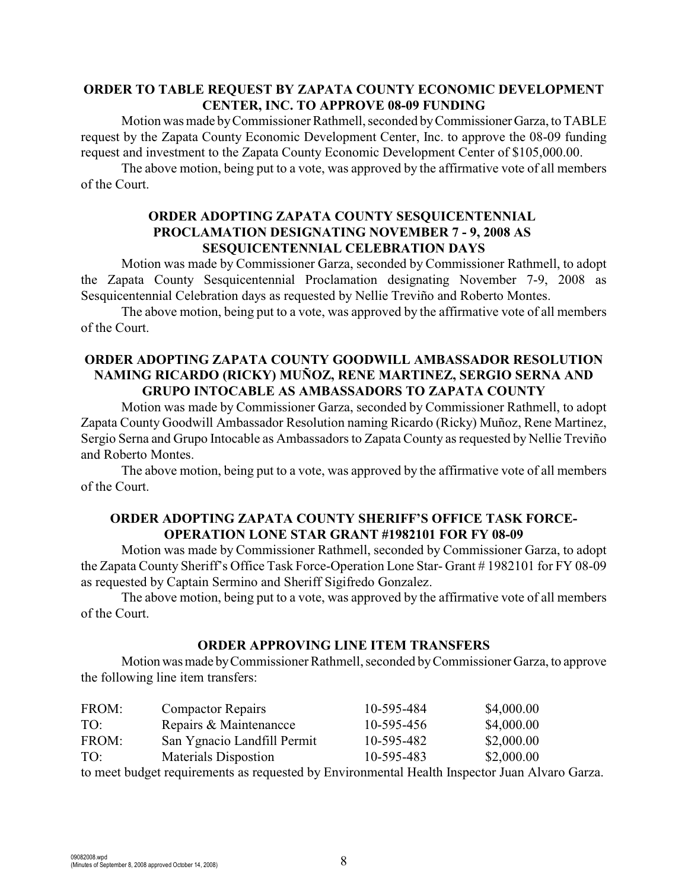### **ORDER TO TABLE REQUEST BY ZAPATA COUNTY ECONOMIC DEVELOPMENT CENTER, INC. TO APPROVE 08-09 FUNDING**

Motion was made by Commissioner Rathmell, seconded by Commissioner Garza, to TABLE request by the Zapata County Economic Development Center, Inc. to approve the 08-09 funding request and investment to the Zapata County Economic Development Center of \$105,000.00.

The above motion, being put to a vote, was approved by the affirmative vote of all members of the Court.

## **ORDER ADOPTING ZAPATA COUNTY SESQUICENTENNIAL PROCLAMATION DESIGNATING NOVEMBER 7 - 9, 2008 AS SESQUICENTENNIAL CELEBRATION DAYS**

Motion was made by Commissioner Garza, seconded by Commissioner Rathmell, to adopt the Zapata County Sesquicentennial Proclamation designating November 7-9, 2008 as Sesquicentennial Celebration days as requested by Nellie Treviño and Roberto Montes.

The above motion, being put to a vote, was approved by the affirmative vote of all members of the Court.

## **ORDER ADOPTING ZAPATA COUNTY GOODWILL AMBASSADOR RESOLUTION NAMING RICARDO (RICKY) MUÑOZ, RENE MARTINEZ, SERGIO SERNA AND GRUPO INTOCABLE AS AMBASSADORS TO ZAPATA COUNTY**

Motion was made by Commissioner Garza, seconded by Commissioner Rathmell, to adopt Zapata County Goodwill Ambassador Resolution naming Ricardo (Ricky) Muñoz, Rene Martinez, Sergio Serna and Grupo Intocable as Ambassadors to Zapata County as requested by Nellie Treviño and Roberto Montes.

The above motion, being put to a vote, was approved by the affirmative vote of all members of the Court.

### **ORDER ADOPTING ZAPATA COUNTY SHERIFF'S OFFICE TASK FORCE-OPERATION LONE STAR GRANT #1982101 FOR FY 08-09**

Motion was made by Commissioner Rathmell, seconded by Commissioner Garza, to adopt the Zapata County Sheriff's Office Task Force-Operation Lone Star- Grant # 1982101 for FY 08-09 as requested by Captain Sermino and Sheriff Sigifredo Gonzalez.

The above motion, being put to a vote, was approved by the affirmative vote of all members of the Court.

#### **ORDER APPROVING LINE ITEM TRANSFERS**

Motion was made by Commissioner Rathmell, seconded by Commissioner Garza, to approve the following line item transfers:

| FROM: | <b>Compactor Repairs</b>                                                             | 10-595-484 | \$4,000.00 |
|-------|--------------------------------------------------------------------------------------|------------|------------|
| TO:   | Repairs & Maintenancce                                                               | 10-595-456 | \$4,000.00 |
| FROM: | San Ygnacio Landfill Permit                                                          | 10-595-482 | \$2,000.00 |
| TO:   | <b>Materials Dispostion</b>                                                          | 10-595-483 | \$2,000.00 |
|       | to most hudget requirements as requested by Environmental Health Inspector Juan Alve |            |            |

to meet budget requirements as requested by Environmental Health Inspector Juan Alvaro Garza.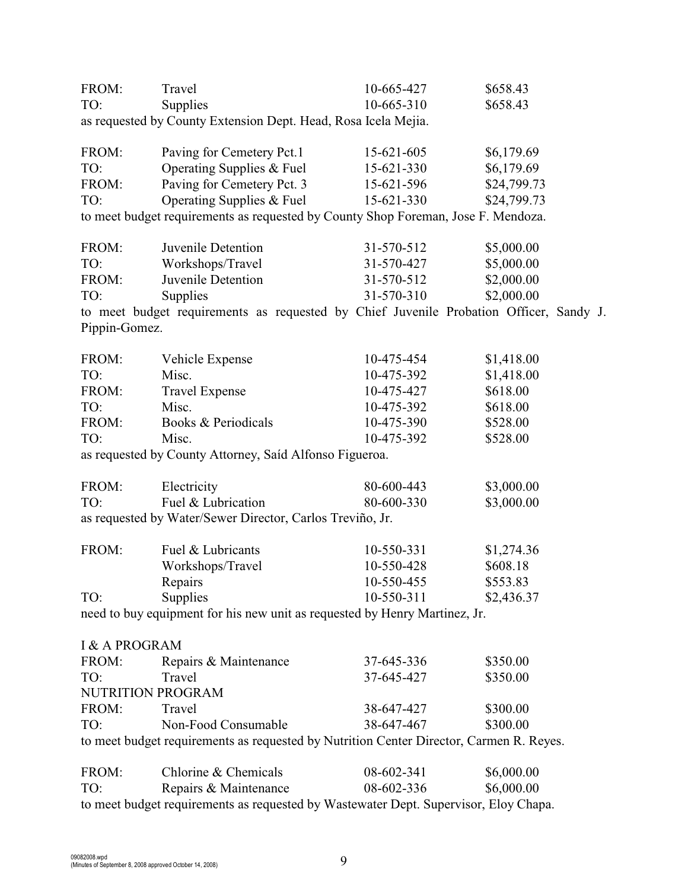| FROM:                    | Travel                                                                                  | 10-665-427 | \$658.43    |
|--------------------------|-----------------------------------------------------------------------------------------|------------|-------------|
| TO:                      | Supplies                                                                                | 10-665-310 | \$658.43    |
|                          | as requested by County Extension Dept. Head, Rosa Icela Mejia.                          |            |             |
| FROM:                    | Paving for Cemetery Pct.1                                                               | 15-621-605 | \$6,179.69  |
| TO:                      | Operating Supplies & Fuel                                                               | 15-621-330 | \$6,179.69  |
| FROM:                    | Paving for Cemetery Pct. 3                                                              | 15-621-596 | \$24,799.73 |
| TO:                      | Operating Supplies & Fuel                                                               | 15-621-330 | \$24,799.73 |
|                          | to meet budget requirements as requested by County Shop Foreman, Jose F. Mendoza.       |            |             |
| FROM:                    | Juvenile Detention                                                                      | 31-570-512 | \$5,000.00  |
| TO:                      | Workshops/Travel                                                                        | 31-570-427 | \$5,000.00  |
| FROM:                    | Juvenile Detention                                                                      | 31-570-512 | \$2,000.00  |
| TO:                      | Supplies                                                                                | 31-570-310 | \$2,000.00  |
|                          | to meet budget requirements as requested by Chief Juvenile Probation Officer, Sandy J.  |            |             |
| Pippin-Gomez.            |                                                                                         |            |             |
| FROM:                    | Vehicle Expense                                                                         | 10-475-454 | \$1,418.00  |
| TO:                      | Misc.                                                                                   | 10-475-392 | \$1,418.00  |
| FROM:                    | <b>Travel Expense</b>                                                                   | 10-475-427 | \$618.00    |
| TO:                      | Misc.                                                                                   | 10-475-392 | \$618.00    |
| FROM:                    | Books & Periodicals                                                                     | 10-475-390 | \$528.00    |
| TO:                      | Misc.                                                                                   | 10-475-392 | \$528.00    |
|                          | as requested by County Attorney, Saíd Alfonso Figueroa.                                 |            |             |
| FROM:                    | Electricity                                                                             | 80-600-443 | \$3,000.00  |
| TO:                      | Fuel & Lubrication                                                                      | 80-600-330 | \$3,000.00  |
|                          | as requested by Water/Sewer Director, Carlos Treviño, Jr.                               |            |             |
| FROM:                    | Fuel & Lubricants                                                                       | 10-550-331 | \$1,274.36  |
|                          | Workshops/Travel                                                                        | 10-550-428 | \$608.18    |
|                          | Repairs                                                                                 | 10-550-455 | \$553.83    |
| TO:                      | Supplies                                                                                | 10-550-311 | \$2,436.37  |
|                          | need to buy equipment for his new unit as requested by Henry Martinez, Jr.              |            |             |
| <b>I &amp; A PROGRAM</b> |                                                                                         |            |             |
| FROM:                    |                                                                                         | 37-645-336 | \$350.00    |
| TO:                      | Repairs & Maintenance<br>Travel                                                         | 37-645-427 | \$350.00    |
|                          |                                                                                         |            |             |
|                          | NUTRITION PROGRAM                                                                       |            |             |
| FROM:                    | Travel                                                                                  | 38-647-427 | \$300.00    |
| TO:                      | Non-Food Consumable                                                                     | 38-647-467 | \$300.00    |
|                          | to meet budget requirements as requested by Nutrition Center Director, Carmen R. Reyes. |            |             |
| FROM:                    | Chlorine & Chemicals                                                                    | 08-602-341 | \$6,000.00  |
| TO:                      | Repairs & Maintenance                                                                   | 08-602-336 | \$6,000.00  |
|                          | to meet budget requirements as requested by Wastewater Dept. Supervisor, Eloy Chapa.    |            |             |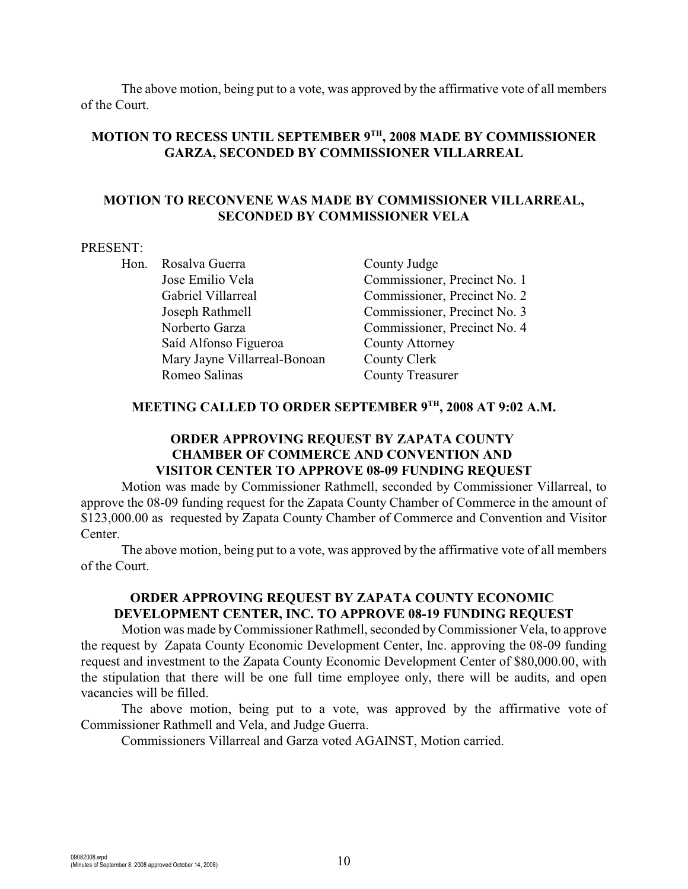The above motion, being put to a vote, was approved by the affirmative vote of all members of the Court.

# **MOTION TO RECESS UNTIL SEPTEMBER 9TH, 2008 MADE BY COMMISSIONER GARZA, SECONDED BY COMMISSIONER VILLARREAL**

#### **MOTION TO RECONVENE WAS MADE BY COMMISSIONER VILLARREAL, SECONDED BY COMMISSIONER VELA**

#### PRESENT:

Hon. Rosalva Guerra County Judge Jose Emilio Vela Commissioner, Precinct No. 1 Gabriel Villarreal Commissioner, Precinct No. 2 Joseph Rathmell Commissioner, Precinct No. 3 Norberto Garza Commissioner, Precinct No. 4 Saíd Alfonso Figueroa County Attorney Mary Jayne Villarreal-Bonoan County Clerk Romeo Salinas County Treasurer

## **MEETING CALLED TO ORDER SEPTEMBER 9TH, 2008 AT 9:02 A.M.**

## **ORDER APPROVING REQUEST BY ZAPATA COUNTY CHAMBER OF COMMERCE AND CONVENTION AND VISITOR CENTER TO APPROVE 08-09 FUNDING REQUEST**

Motion was made by Commissioner Rathmell, seconded by Commissioner Villarreal, to approve the 08-09 funding request for the Zapata County Chamber of Commerce in the amount of \$123,000.00 as requested by Zapata County Chamber of Commerce and Convention and Visitor Center.

The above motion, being put to a vote, was approved by the affirmative vote of all members of the Court.

## **ORDER APPROVING REQUEST BY ZAPATA COUNTY ECONOMIC DEVELOPMENT CENTER, INC. TO APPROVE 08-19 FUNDING REQUEST**

Motion was made by Commissioner Rathmell, seconded by Commissioner Vela, to approve the request by Zapata County Economic Development Center, Inc. approving the 08-09 funding request and investment to the Zapata County Economic Development Center of \$80,000.00, with the stipulation that there will be one full time employee only, there will be audits, and open vacancies will be filled.

The above motion, being put to a vote, was approved by the affirmative vote of Commissioner Rathmell and Vela, and Judge Guerra.

Commissioners Villarreal and Garza voted AGAINST, Motion carried.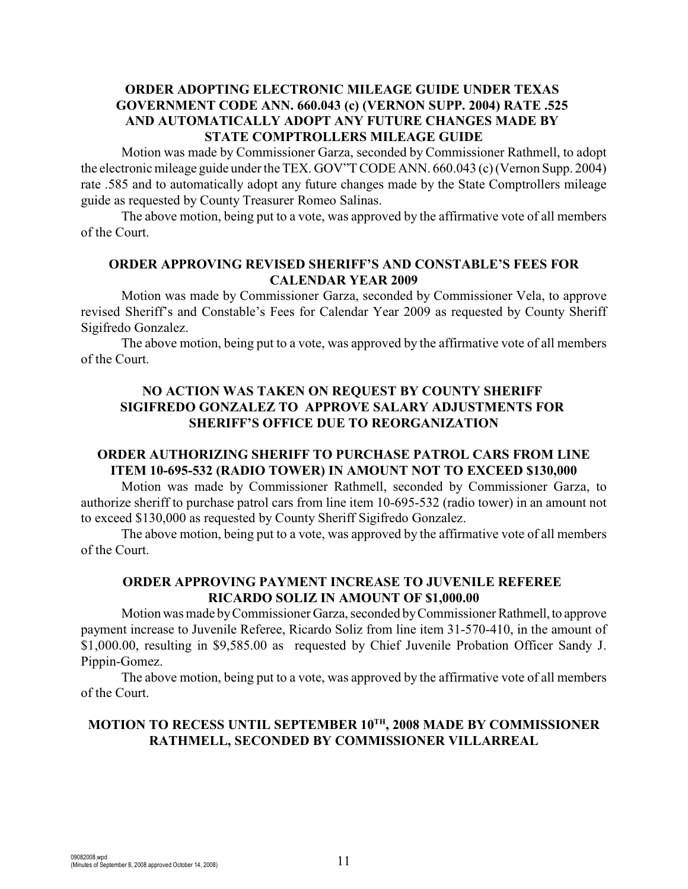# **ORDER ADOPTING ELECTRONIC MILEAGE GUIDE UNDER TEXAS GOVERNMENT CODE ANN. 660.043 (c) (VERNON SUPP. 2004) RATE .525 AND AUTOMATICALLY ADOPT ANY FUTURE CHANGES MADE BY STATE COMPTROLLERS MILEAGE GUIDE**

Motion was made by Commissioner Garza, seconded by Commissioner Rathmell, to adopt the electronic mileage guide under the TEX. GOV"T CODE ANN. 660.043 (c) (Vernon Supp. 2004) rate .585 and to automatically adopt any future changes made by the State Comptrollers mileage guide as requested by County Treasurer Romeo Salinas.

The above motion, being put to a vote, was approved by the affirmative vote of all members of the Court.

### **ORDER APPROVING REVISED SHERIFF'S AND CONSTABLE'S FEES FOR CALENDAR YEAR 2009**

Motion was made by Commissioner Garza, seconded by Commissioner Vela, to approve revised Sheriff's and Constable's Fees for Calendar Year 2009 as requested by County Sheriff Sigifredo Gonzalez.

The above motion, being put to a vote, was approved by the affirmative vote of all members of the Court.

# **NO ACTION WAS TAKEN ON REQUEST BY COUNTY SHERIFF SIGIFREDO GONZALEZ TO APPROVE SALARY ADJUSTMENTS FOR SHERIFF'S OFFICE DUE TO REORGANIZATION**

## **ORDER AUTHORIZING SHERIFF TO PURCHASE PATROL CARS FROM LINE ITEM 10-695-532 (RADIO TOWER) IN AMOUNT NOT TO EXCEED \$130,000**

Motion was made by Commissioner Rathmell, seconded by Commissioner Garza, to authorize sheriff to purchase patrol cars from line item 10-695-532 (radio tower) in an amount not to exceed \$130,000 as requested by County Sheriff Sigifredo Gonzalez.

The above motion, being put to a vote, was approved by the affirmative vote of all members of the Court.

## **ORDER APPROVING PAYMENT INCREASE TO JUVENILE REFEREE RICARDO SOLIZ IN AMOUNT OF \$1,000.00**

Motion was made by Commissioner Garza, seconded by Commissioner Rathmell, to approve payment increase to Juvenile Referee, Ricardo Soliz from line item 31-570-410, in the amount of \$1,000.00, resulting in \$9,585.00 as requested by Chief Juvenile Probation Officer Sandy J. Pippin-Gomez.

The above motion, being put to a vote, was approved by the affirmative vote of all members of the Court.

# **MOTION TO RECESS UNTIL SEPTEMBER 10TH, 2008 MADE BY COMMISSIONER RATHMELL, SECONDED BY COMMISSIONER VILLARREAL**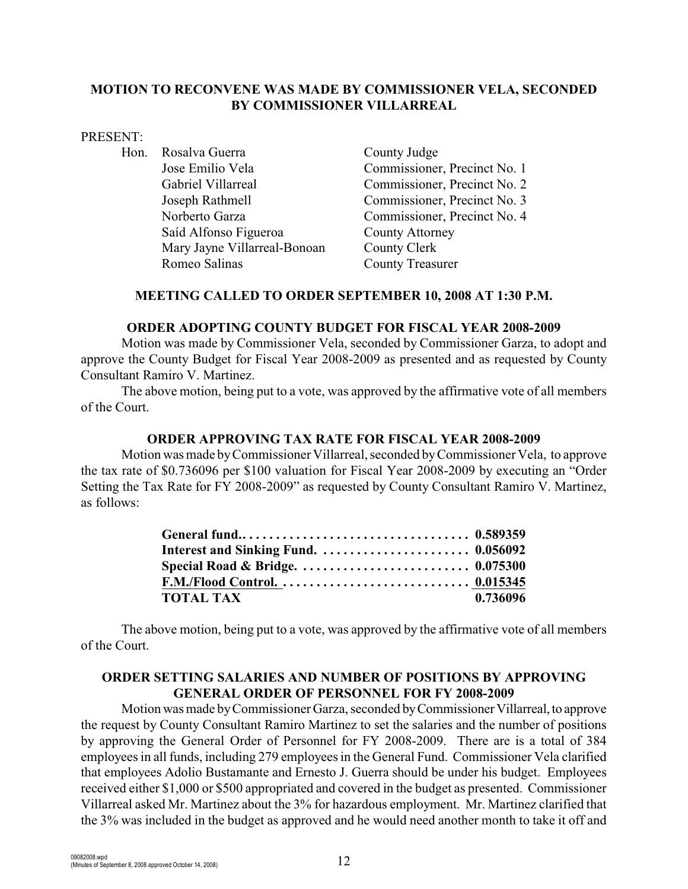### **MOTION TO RECONVENE WAS MADE BY COMMISSIONER VELA, SECONDED BY COMMISSIONER VILLARREAL**

#### PRESENT:

Hon. Rosalva Guerra County Judge Jose Emilio Vela Commissioner, Precinct No. 1 Gabriel Villarreal Commissioner, Precinct No. 2 Joseph Rathmell Commissioner, Precinct No. 3 Norberto Garza Commissioner, Precinct No. 4 Saíd Alfonso Figueroa County Attorney Mary Jayne Villarreal-Bonoan County Clerk Romeo Salinas County Treasurer

### **MEETING CALLED TO ORDER SEPTEMBER 10, 2008 AT 1:30 P.M.**

#### **ORDER ADOPTING COUNTY BUDGET FOR FISCAL YEAR 2008-2009**

Motion was made by Commissioner Vela, seconded by Commissioner Garza, to adopt and approve the County Budget for Fiscal Year 2008-2009 as presented and as requested by County Consultant Ramiro V. Martinez.

The above motion, being put to a vote, was approved by the affirmative vote of all members of the Court.

#### **ORDER APPROVING TAX RATE FOR FISCAL YEAR 2008-2009**

Motion was made byCommissioner Villarreal, seconded byCommissioner Vela, to approve the tax rate of \$0.736096 per \$100 valuation for Fiscal Year 2008-2009 by executing an "Order Setting the Tax Rate for FY 2008-2009" as requested by County Consultant Ramiro V. Martinez, as follows:

| Special Road & Bridge. $\ldots \ldots \ldots \ldots \ldots \ldots \ldots \ldots \ldots \ldots 0.075300$ |          |
|---------------------------------------------------------------------------------------------------------|----------|
|                                                                                                         |          |
| <b>TOTAL TAX</b>                                                                                        | 0.736096 |

The above motion, being put to a vote, was approved by the affirmative vote of all members of the Court.

## **ORDER SETTING SALARIES AND NUMBER OF POSITIONS BY APPROVING GENERAL ORDER OF PERSONNEL FOR FY 2008-2009**

Motion was made by Commissioner Garza, seconded by Commissioner Villarreal, to approve the request by County Consultant Ramiro Martinez to set the salaries and the number of positions by approving the General Order of Personnel for FY 2008-2009. There are is a total of 384 employees in all funds, including 279 employees in the General Fund. Commissioner Vela clarified that employees Adolio Bustamante and Ernesto J. Guerra should be under his budget. Employees received either \$1,000 or \$500 appropriated and covered in the budget as presented. Commissioner Villarreal asked Mr. Martinez about the 3% for hazardous employment. Mr. Martinez clarified that the 3% was included in the budget as approved and he would need another month to take it off and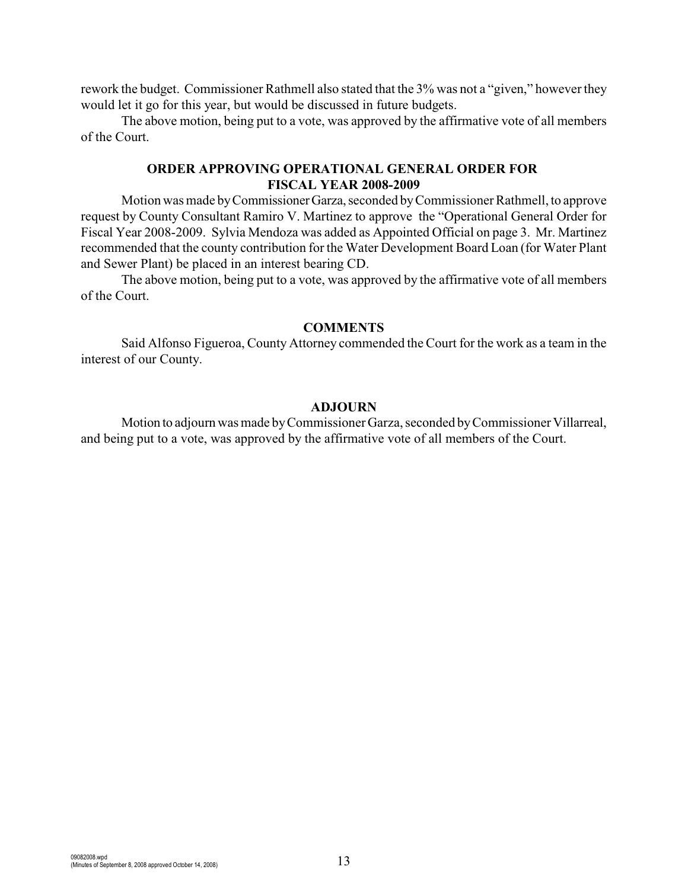rework the budget. Commissioner Rathmell also stated that the 3% was not a "given," however they would let it go for this year, but would be discussed in future budgets.

The above motion, being put to a vote, was approved by the affirmative vote of all members of the Court.

### **ORDER APPROVING OPERATIONAL GENERAL ORDER FOR FISCAL YEAR 2008-2009**

Motion was made by Commissioner Garza, seconded by Commissioner Rathmell, to approve request by County Consultant Ramiro V. Martinez to approve the "Operational General Order for Fiscal Year 2008-2009. Sylvia Mendoza was added as Appointed Official on page 3. Mr. Martinez recommended that the county contribution for the Water Development Board Loan (for Water Plant and Sewer Plant) be placed in an interest bearing CD.

The above motion, being put to a vote, was approved by the affirmative vote of all members of the Court.

#### **COMMENTS**

Said Alfonso Figueroa, County Attorney commended the Court for the work as a team in the interest of our County.

#### **ADJOURN**

Motion to adjourn was made by Commissioner Garza, seconded by Commissioner Villarreal, and being put to a vote, was approved by the affirmative vote of all members of the Court.